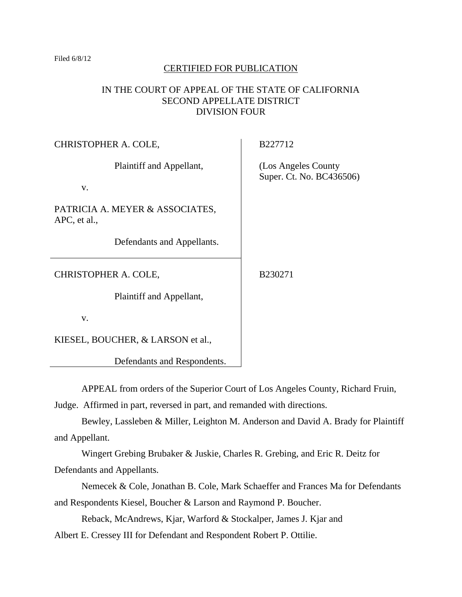#### Filed 6/8/12

# CERTIFIED FOR PUBLICATION

# IN THE COURT OF APPEAL OF THE STATE OF CALIFORNIA SECOND APPELLATE DISTRICT DIVISION FOUR

| CHRISTOPHER A. COLE,                            | B227712                                          |
|-------------------------------------------------|--------------------------------------------------|
| Plaintiff and Appellant,<br>V.                  | (Los Angeles County)<br>Super. Ct. No. BC436506) |
|                                                 |                                                  |
| PATRICIA A. MEYER & ASSOCIATES,<br>APC, et al., |                                                  |
| Defendants and Appellants.                      |                                                  |
| CHRISTOPHER A. COLE,                            | B230271                                          |
| Plaintiff and Appellant,                        |                                                  |
| V.                                              |                                                  |
| KIESEL, BOUCHER, & LARSON et al.,               |                                                  |

Defendants and Respondents.

APPEAL from orders of the Superior Court of Los Angeles County, Richard Fruin,

Judge. Affirmed in part, reversed in part, and remanded with directions.

Bewley, Lassleben & Miller, Leighton M. Anderson and David A. Brady for Plaintiff and Appellant.

Wingert Grebing Brubaker & Juskie, Charles R. Grebing, and Eric R. Deitz for Defendants and Appellants.

Nemecek & Cole, Jonathan B. Cole, Mark Schaeffer and Frances Ma for Defendants and Respondents Kiesel, Boucher & Larson and Raymond P. Boucher.

Reback, McAndrews, Kjar, Warford & Stockalper, James J. Kjar and

Albert E. Cressey III for Defendant and Respondent Robert P. Ottilie.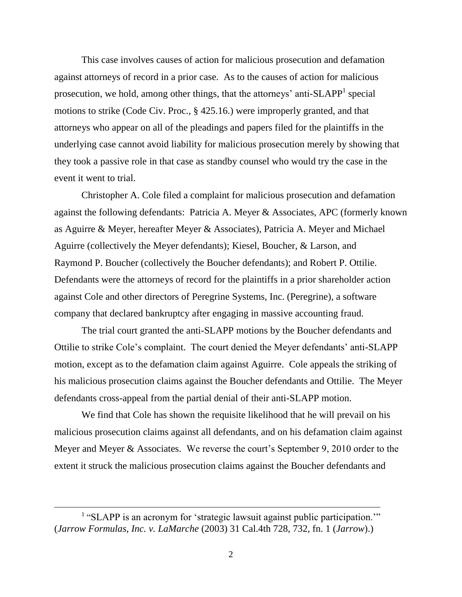This case involves causes of action for malicious prosecution and defamation against attorneys of record in a prior case. As to the causes of action for malicious prosecution, we hold, among other things, that the attorneys' anti- $SLAPP<sup>1</sup>$  special motions to strike (Code Civ. Proc., § 425.16.) were improperly granted, and that attorneys who appear on all of the pleadings and papers filed for the plaintiffs in the underlying case cannot avoid liability for malicious prosecution merely by showing that they took a passive role in that case as standby counsel who would try the case in the event it went to trial.

Christopher A. Cole filed a complaint for malicious prosecution and defamation against the following defendants: Patricia A. Meyer & Associates, APC (formerly known as Aguirre & Meyer, hereafter Meyer & Associates), Patricia A. Meyer and Michael Aguirre (collectively the Meyer defendants); Kiesel, Boucher, & Larson, and Raymond P. Boucher (collectively the Boucher defendants); and Robert P. Ottilie. Defendants were the attorneys of record for the plaintiffs in a prior shareholder action against Cole and other directors of Peregrine Systems, Inc. (Peregrine), a software company that declared bankruptcy after engaging in massive accounting fraud.

The trial court granted the anti-SLAPP motions by the Boucher defendants and Ottilie to strike Cole's complaint. The court denied the Meyer defendants' anti-SLAPP motion, except as to the defamation claim against Aguirre. Cole appeals the striking of his malicious prosecution claims against the Boucher defendants and Ottilie. The Meyer defendants cross-appeal from the partial denial of their anti-SLAPP motion.

We find that Cole has shown the requisite likelihood that he will prevail on his malicious prosecution claims against all defendants, and on his defamation claim against Meyer and Meyer & Associates. We reverse the court's September 9, 2010 order to the extent it struck the malicious prosecution claims against the Boucher defendants and

<sup>&</sup>lt;sup>1</sup> "SLAPP is an acronym for 'strategic lawsuit against public participation." (*Jarrow Formulas, Inc. v. LaMarche* (2003) 31 Cal.4th 728, 732, fn. 1 (*Jarrow*).)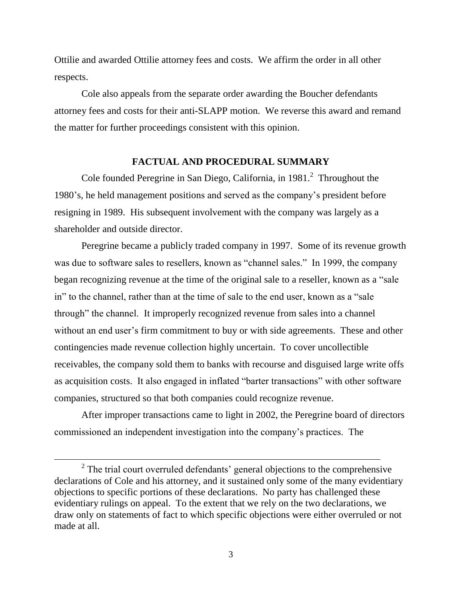Ottilie and awarded Ottilie attorney fees and costs. We affirm the order in all other respects.

Cole also appeals from the separate order awarding the Boucher defendants attorney fees and costs for their anti-SLAPP motion. We reverse this award and remand the matter for further proceedings consistent with this opinion.

# **FACTUAL AND PROCEDURAL SUMMARY**

Cole founded Peregrine in San Diego, California, in 1981. $^2$  Throughout the 1980's, he held management positions and served as the company's president before resigning in 1989. His subsequent involvement with the company was largely as a shareholder and outside director.

Peregrine became a publicly traded company in 1997. Some of its revenue growth was due to software sales to resellers, known as "channel sales." In 1999, the company began recognizing revenue at the time of the original sale to a reseller, known as a "sale" in" to the channel, rather than at the time of sale to the end user, known as a "sale through" the channel. It improperly recognized revenue from sales into a channel without an end user's firm commitment to buy or with side agreements. These and other contingencies made revenue collection highly uncertain. To cover uncollectible receivables, the company sold them to banks with recourse and disguised large write offs as acquisition costs. It also engaged in inflated "barter transactions" with other software companies, structured so that both companies could recognize revenue.

After improper transactions came to light in 2002, the Peregrine board of directors commissioned an independent investigation into the company's practices. The

 $2^2$  The trial court overruled defendants' general objections to the comprehensive declarations of Cole and his attorney, and it sustained only some of the many evidentiary objections to specific portions of these declarations. No party has challenged these evidentiary rulings on appeal. To the extent that we rely on the two declarations, we draw only on statements of fact to which specific objections were either overruled or not made at all.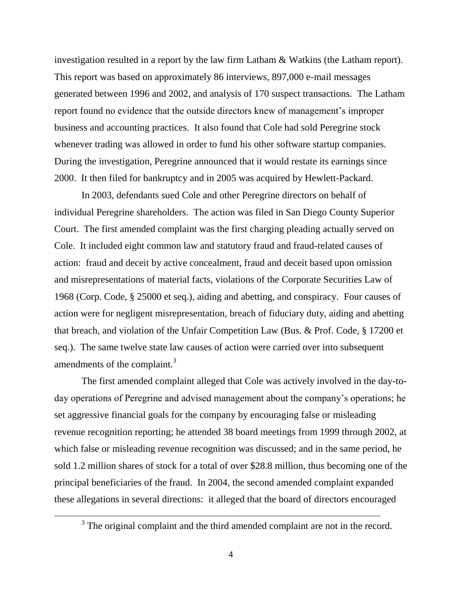investigation resulted in a report by the law firm Latham & Watkins (the Latham report). This report was based on approximately 86 interviews, 897,000 e-mail messages generated between 1996 and 2002, and analysis of 170 suspect transactions. The Latham report found no evidence that the outside directors knew of management's improper business and accounting practices. It also found that Cole had sold Peregrine stock whenever trading was allowed in order to fund his other software startup companies. During the investigation, Peregrine announced that it would restate its earnings since 2000. It then filed for bankruptcy and in 2005 was acquired by Hewlett-Packard.

In 2003, defendants sued Cole and other Peregrine directors on behalf of individual Peregrine shareholders. The action was filed in San Diego County Superior Court. The first amended complaint was the first charging pleading actually served on Cole. It included eight common law and statutory fraud and fraud-related causes of action: fraud and deceit by active concealment, fraud and deceit based upon omission and misrepresentations of material facts, violations of the Corporate Securities Law of 1968 (Corp. Code, § 25000 et seq.), aiding and abetting, and conspiracy. Four causes of action were for negligent misrepresentation, breach of fiduciary duty, aiding and abetting that breach, and violation of the Unfair Competition Law (Bus. & Prof. Code, § 17200 et seq.). The same twelve state law causes of action were carried over into subsequent amendments of the complaint.<sup>3</sup>

The first amended complaint alleged that Cole was actively involved in the day-today operations of Peregrine and advised management about the company's operations; he set aggressive financial goals for the company by encouraging false or misleading revenue recognition reporting; he attended 38 board meetings from 1999 through 2002, at which false or misleading revenue recognition was discussed; and in the same period, he sold 1.2 million shares of stock for a total of over \$28.8 million, thus becoming one of the principal beneficiaries of the fraud. In 2004, the second amended complaint expanded these allegations in several directions: it alleged that the board of directors encouraged

 $3$  The original complaint and the third amended complaint are not in the record.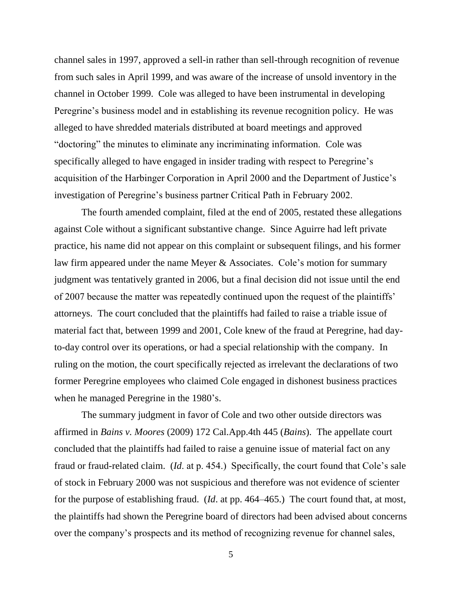channel sales in 1997, approved a sell-in rather than sell-through recognition of revenue from such sales in April 1999, and was aware of the increase of unsold inventory in the channel in October 1999. Cole was alleged to have been instrumental in developing Peregrine's business model and in establishing its revenue recognition policy. He was alleged to have shredded materials distributed at board meetings and approved "doctoring" the minutes to eliminate any incriminating information. Cole was specifically alleged to have engaged in insider trading with respect to Peregrine's acquisition of the Harbinger Corporation in April 2000 and the Department of Justice's investigation of Peregrine's business partner Critical Path in February 2002.

The fourth amended complaint, filed at the end of 2005, restated these allegations against Cole without a significant substantive change. Since Aguirre had left private practice, his name did not appear on this complaint or subsequent filings, and his former law firm appeared under the name Meyer & Associates. Cole's motion for summary judgment was tentatively granted in 2006, but a final decision did not issue until the end of 2007 because the matter was repeatedly continued upon the request of the plaintiffs' attorneys. The court concluded that the plaintiffs had failed to raise a triable issue of material fact that, between 1999 and 2001, Cole knew of the fraud at Peregrine, had dayto-day control over its operations, or had a special relationship with the company. In ruling on the motion, the court specifically rejected as irrelevant the declarations of two former Peregrine employees who claimed Cole engaged in dishonest business practices when he managed Peregrine in the 1980's.

The summary judgment in favor of Cole and two other outside directors was affirmed in *Bains v. Moores* (2009) 172 Cal.App.4th 445 (*Bains*). The appellate court concluded that the plaintiffs had failed to raise a genuine issue of material fact on any fraud or fraud-related claim. (*Id*. at p. 454.) Specifically, the court found that Cole's sale of stock in February 2000 was not suspicious and therefore was not evidence of scienter for the purpose of establishing fraud. (*Id*. at pp. 464–465.) The court found that, at most, the plaintiffs had shown the Peregrine board of directors had been advised about concerns over the company's prospects and its method of recognizing revenue for channel sales,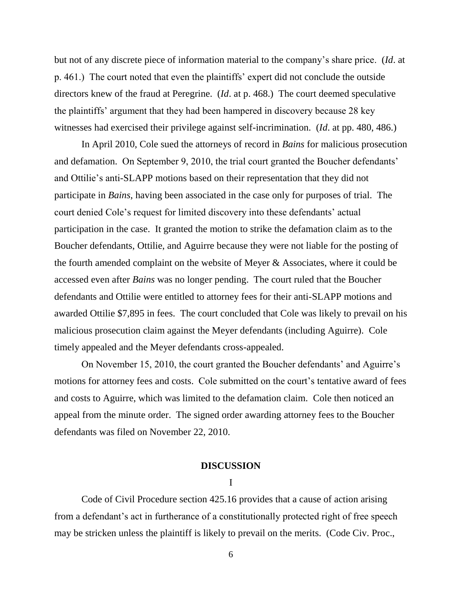but not of any discrete piece of information material to the company's share price. (*Id*. at p. 461.) The court noted that even the plaintiffs' expert did not conclude the outside directors knew of the fraud at Peregrine. (*Id*. at p. 468.) The court deemed speculative the plaintiffs' argument that they had been hampered in discovery because 28 key witnesses had exercised their privilege against self-incrimination. (*Id*. at pp. 480, 486.)

In April 2010, Cole sued the attorneys of record in *Bains* for malicious prosecution and defamation. On September 9, 2010, the trial court granted the Boucher defendants' and Ottilie's anti-SLAPP motions based on their representation that they did not participate in *Bains*, having been associated in the case only for purposes of trial. The court denied Cole's request for limited discovery into these defendants' actual participation in the case. It granted the motion to strike the defamation claim as to the Boucher defendants, Ottilie, and Aguirre because they were not liable for the posting of the fourth amended complaint on the website of Meyer & Associates, where it could be accessed even after *Bains* was no longer pending. The court ruled that the Boucher defendants and Ottilie were entitled to attorney fees for their anti-SLAPP motions and awarded Ottilie \$7,895 in fees. The court concluded that Cole was likely to prevail on his malicious prosecution claim against the Meyer defendants (including Aguirre). Cole timely appealed and the Meyer defendants cross-appealed.

On November 15, 2010, the court granted the Boucher defendants' and Aguirre's motions for attorney fees and costs. Cole submitted on the court's tentative award of fees and costs to Aguirre, which was limited to the defamation claim. Cole then noticed an appeal from the minute order. The signed order awarding attorney fees to the Boucher defendants was filed on November 22, 2010.

## **DISCUSSION**

I

Code of Civil Procedure section 425.16 provides that a cause of action arising from a defendant's act in furtherance of a constitutionally protected right of free speech may be stricken unless the plaintiff is likely to prevail on the merits. (Code Civ. Proc.,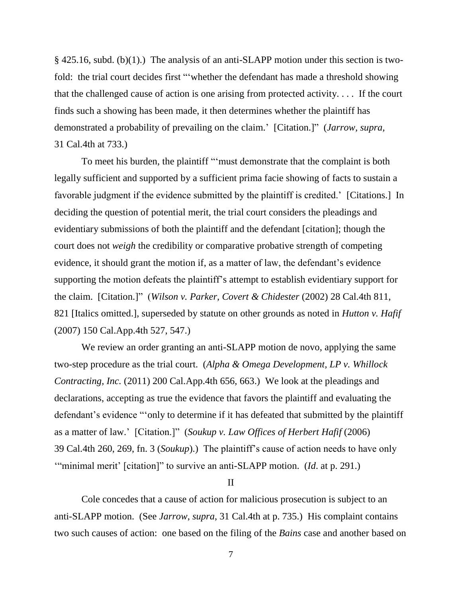§ 425.16, subd. (b)(1).) The analysis of an anti-SLAPP motion under this section is twofold: the trial court decides first "whether the defendant has made a threshold showing that the challenged cause of action is one arising from protected activity. . . . If the court finds such a showing has been made, it then determines whether the plaintiff has demonstrated a probability of prevailing on the claim.' [Citation.]" (*Jarrow*, *supra*, 31 Cal.4th at 733.)

To meet his burden, the plaintiff ""must demonstrate that the complaint is both legally sufficient and supported by a sufficient prima facie showing of facts to sustain a favorable judgment if the evidence submitted by the plaintiff is credited.' [Citations.] In deciding the question of potential merit, the trial court considers the pleadings and evidentiary submissions of both the plaintiff and the defendant [citation]; though the court does not *weigh* the credibility or comparative probative strength of competing evidence, it should grant the motion if, as a matter of law, the defendant's evidence supporting the motion defeats the plaintiff's attempt to establish evidentiary support for the claim. [Citation.]" (*Wilson v. Parker, Covert & Chidester* (2002) 28 Cal.4th 811, 821 [Italics omitted.], superseded by statute on other grounds as noted in *Hutton v. Hafif* (2007) 150 Cal.App.4th 527, 547.)

We review an order granting an anti-SLAPP motion de novo, applying the same two-step procedure as the trial court. (*Alpha & Omega Development, LP v. Whillock Contracting, Inc.* (2011) 200 Cal.App.4th 656, 663.) We look at the pleadings and declarations, accepting as true the evidence that favors the plaintiff and evaluating the defendant's evidence "only to determine if it has defeated that submitted by the plaintiff as a matter of law.' [Citation.]" (*Soukup v. Law Offices of Herbert Hafif* (2006) 39 Cal.4th 260, 269, fn. 3 (*Soukup*).) The plaintiff's cause of action needs to have only "minimal merit' [citation]" to survive an anti-SLAPP motion. (*Id.* at p. 291.)

II

Cole concedes that a cause of action for malicious prosecution is subject to an anti-SLAPP motion. (See *Jarrow*, *supra*, 31 Cal.4th at p. 735.) His complaint contains two such causes of action: one based on the filing of the *Bains* case and another based on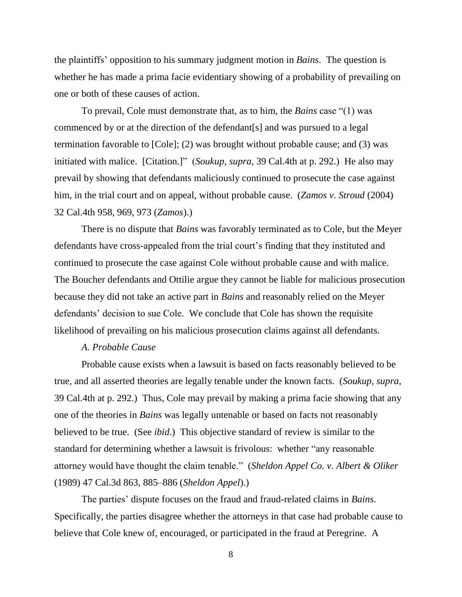the plaintiffs' opposition to his summary judgment motion in *Bains*. The question is whether he has made a prima facie evidentiary showing of a probability of prevailing on one or both of these causes of action.

To prevail, Cole must demonstrate that, as to him, the *Bains* case "(1) was commenced by or at the direction of the defendant[s] and was pursued to a legal termination favorable to [Cole]; (2) was brought without probable cause; and (3) was initiated with malice. [Citation.]" (*Soukup*, *supra*, 39 Cal.4th at p. 292.) He also may prevail by showing that defendants maliciously continued to prosecute the case against him, in the trial court and on appeal, without probable cause. (*Zamos v. Stroud* (2004) 32 Cal.4th 958, 969, 973 (*Zamos*).)

There is no dispute that *Bains* was favorably terminated as to Cole, but the Meyer defendants have cross-appealed from the trial court's finding that they instituted and continued to prosecute the case against Cole without probable cause and with malice. The Boucher defendants and Ottilie argue they cannot be liable for malicious prosecution because they did not take an active part in *Bains* and reasonably relied on the Meyer defendants' decision to sue Cole. We conclude that Cole has shown the requisite likelihood of prevailing on his malicious prosecution claims against all defendants.

#### *A. Probable Cause*

Probable cause exists when a lawsuit is based on facts reasonably believed to be true, and all asserted theories are legally tenable under the known facts. (*Soukup*, *supra*, 39 Cal.4th at p. 292.) Thus, Cole may prevail by making a prima facie showing that any one of the theories in *Bains* was legally untenable or based on facts not reasonably believed to be true. (See *ibid*.) This objective standard of review is similar to the standard for determining whether a lawsuit is frivolous: whether "any reasonable" attorney would have thought the claim tenable.‖ (*Sheldon Appel Co. v. Albert & Oliker*  (1989) 47 Cal.3d 863, 885–886 (*Sheldon Appel*).)

The parties' dispute focuses on the fraud and fraud-related claims in *Bains*. Specifically, the parties disagree whether the attorneys in that case had probable cause to believe that Cole knew of, encouraged, or participated in the fraud at Peregrine. A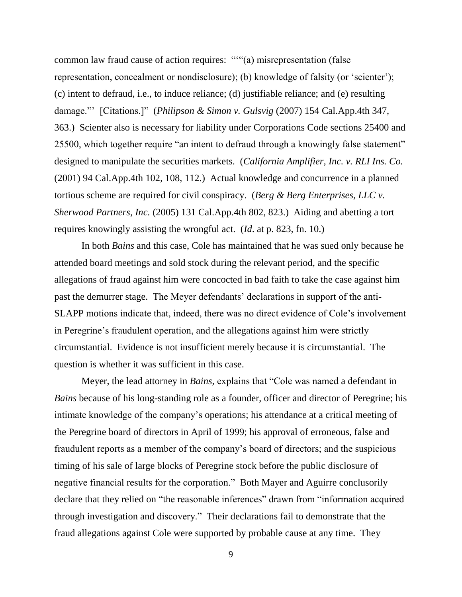common law fraud cause of action requires: ""(a) misrepresentation (false representation, concealment or nondisclosure); (b) knowledge of falsity (or 'scienter'); (c) intent to defraud, i.e., to induce reliance; (d) justifiable reliance; and (e) resulting damage."' [Citations.]" (*Philipson & Simon v. Gulsvig* (2007) 154 Cal.App.4th 347, 363.) Scienter also is necessary for liability under Corporations Code sections 25400 and 25500, which together require "an intent to defraud through a knowingly false statement" designed to manipulate the securities markets. (*California Amplifier, Inc. v. RLI Ins. Co.* (2001) 94 Cal.App.4th 102, 108, 112.) Actual knowledge and concurrence in a planned tortious scheme are required for civil conspiracy. (*Berg & Berg Enterprises, LLC v. Sherwood Partners, Inc.* (2005) 131 Cal.App.4th 802, 823.) Aiding and abetting a tort requires knowingly assisting the wrongful act. (*Id*. at p. 823, fn. 10.)

In both *Bains* and this case, Cole has maintained that he was sued only because he attended board meetings and sold stock during the relevant period, and the specific allegations of fraud against him were concocted in bad faith to take the case against him past the demurrer stage. The Meyer defendants' declarations in support of the anti-SLAPP motions indicate that, indeed, there was no direct evidence of Cole's involvement in Peregrine's fraudulent operation, and the allegations against him were strictly circumstantial. Evidence is not insufficient merely because it is circumstantial. The question is whether it was sufficient in this case.

Meyer, the lead attorney in *Bains*, explains that "Cole was named a defendant in *Bains* because of his long-standing role as a founder, officer and director of Peregrine; his intimate knowledge of the company's operations; his attendance at a critical meeting of the Peregrine board of directors in April of 1999; his approval of erroneous, false and fraudulent reports as a member of the company's board of directors; and the suspicious timing of his sale of large blocks of Peregrine stock before the public disclosure of negative financial results for the corporation." Both Mayer and Aguirre conclusorily declare that they relied on "the reasonable inferences" drawn from "information acquired through investigation and discovery.‖ Their declarations fail to demonstrate that the fraud allegations against Cole were supported by probable cause at any time. They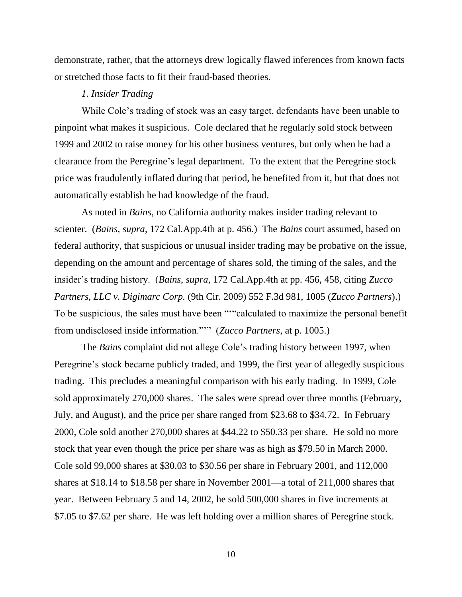demonstrate, rather, that the attorneys drew logically flawed inferences from known facts or stretched those facts to fit their fraud-based theories.

#### *1. Insider Trading*

While Cole's trading of stock was an easy target, defendants have been unable to pinpoint what makes it suspicious. Cole declared that he regularly sold stock between 1999 and 2002 to raise money for his other business ventures, but only when he had a clearance from the Peregrine's legal department. To the extent that the Peregrine stock price was fraudulently inflated during that period, he benefited from it, but that does not automatically establish he had knowledge of the fraud.

As noted in *Bains*, no California authority makes insider trading relevant to scienter. (*Bains*, *supra*, 172 Cal.App.4th at p. 456.) The *Bains* court assumed, based on federal authority, that suspicious or unusual insider trading may be probative on the issue, depending on the amount and percentage of shares sold, the timing of the sales, and the insider's trading history. (*Bains*, *supra*, 172 Cal.App.4th at pp. 456, 458, citing *Zucco Partners, LLC v. Digimarc Corp.* (9th Cir. 2009) 552 F.3d 981, 1005 (*Zucco Partners*).) To be suspicious, the sales must have been ""calculated to maximize the personal benefit from undisclosed inside information."" (*Zucco Partners*, at p. 1005.)

The *Bains* complaint did not allege Cole's trading history between 1997, when Peregrine's stock became publicly traded, and 1999, the first year of allegedly suspicious trading. This precludes a meaningful comparison with his early trading. In 1999, Cole sold approximately 270,000 shares. The sales were spread over three months (February, July, and August), and the price per share ranged from \$23.68 to \$34.72. In February 2000, Cole sold another 270,000 shares at \$44.22 to \$50.33 per share. He sold no more stock that year even though the price per share was as high as \$79.50 in March 2000. Cole sold 99,000 shares at \$30.03 to \$30.56 per share in February 2001, and 112,000 shares at \$18.14 to \$18.58 per share in November 2001—a total of 211,000 shares that year. Between February 5 and 14, 2002, he sold 500,000 shares in five increments at \$7.05 to \$7.62 per share. He was left holding over a million shares of Peregrine stock.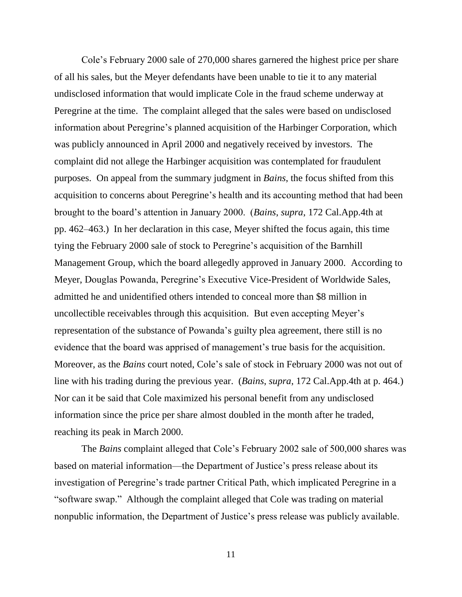Cole's February 2000 sale of 270,000 shares garnered the highest price per share of all his sales, but the Meyer defendants have been unable to tie it to any material undisclosed information that would implicate Cole in the fraud scheme underway at Peregrine at the time. The complaint alleged that the sales were based on undisclosed information about Peregrine's planned acquisition of the Harbinger Corporation, which was publicly announced in April 2000 and negatively received by investors. The complaint did not allege the Harbinger acquisition was contemplated for fraudulent purposes. On appeal from the summary judgment in *Bains*, the focus shifted from this acquisition to concerns about Peregrine's health and its accounting method that had been brought to the board's attention in January 2000. (*Bains*, *supra*, 172 Cal.App.4th at pp. 462–463.) In her declaration in this case, Meyer shifted the focus again, this time tying the February 2000 sale of stock to Peregrine's acquisition of the Barnhill Management Group, which the board allegedly approved in January 2000. According to Meyer, Douglas Powanda, Peregrine's Executive Vice-President of Worldwide Sales, admitted he and unidentified others intended to conceal more than \$8 million in uncollectible receivables through this acquisition. But even accepting Meyer's representation of the substance of Powanda's guilty plea agreement, there still is no evidence that the board was apprised of management's true basis for the acquisition. Moreover, as the *Bains* court noted, Cole's sale of stock in February 2000 was not out of line with his trading during the previous year. (*Bains*, *supra*, 172 Cal.App.4th at p. 464.) Nor can it be said that Cole maximized his personal benefit from any undisclosed information since the price per share almost doubled in the month after he traded, reaching its peak in March 2000.

The *Bains* complaint alleged that Cole's February 2002 sale of 500,000 shares was based on material information—the Department of Justice's press release about its investigation of Peregrine's trade partner Critical Path, which implicated Peregrine in a "software swap." Although the complaint alleged that Cole was trading on material nonpublic information, the Department of Justice's press release was publicly available.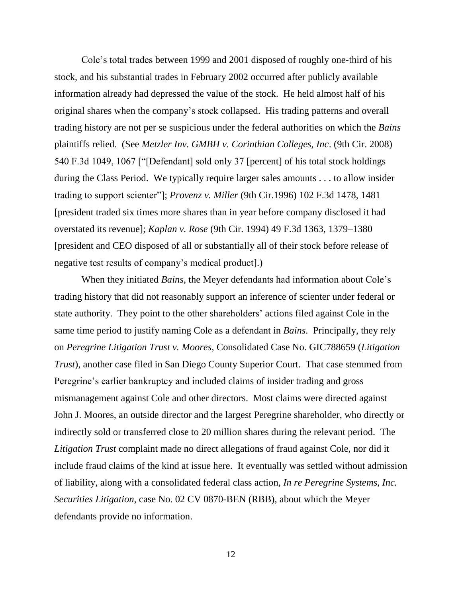Cole's total trades between 1999 and 2001 disposed of roughly one-third of his stock, and his substantial trades in February 2002 occurred after publicly available information already had depressed the value of the stock. He held almost half of his original shares when the company's stock collapsed. His trading patterns and overall trading history are not per se suspicious under the federal authorities on which the *Bains* plaintiffs relied. (See *Metzler Inv. GMBH v. Corinthian Colleges, Inc*. (9th Cir. 2008) 540 F.3d 1049, 1067 ["[Defendant] sold only 37 [percent] of his total stock holdings during the Class Period. We typically require larger sales amounts . . . to allow insider trading to support scienter"]; *Provenz v. Miller* (9th Cir.1996) 102 F.3d 1478, 1481 [president traded six times more shares than in year before company disclosed it had overstated its revenue]; *Kaplan v. Rose* (9th Cir. 1994) 49 F.3d 1363, 1379–1380 [president and CEO disposed of all or substantially all of their stock before release of negative test results of company's medical product].)

When they initiated *Bains*, the Meyer defendants had information about Cole's trading history that did not reasonably support an inference of scienter under federal or state authority. They point to the other shareholders' actions filed against Cole in the same time period to justify naming Cole as a defendant in *Bains*. Principally, they rely on *Peregrine Litigation Trust v. Moores*, Consolidated Case No. GIC788659 (*Litigation Trust*), another case filed in San Diego County Superior Court. That case stemmed from Peregrine's earlier bankruptcy and included claims of insider trading and gross mismanagement against Cole and other directors. Most claims were directed against John J. Moores, an outside director and the largest Peregrine shareholder, who directly or indirectly sold or transferred close to 20 million shares during the relevant period. The *Litigation Trust* complaint made no direct allegations of fraud against Cole, nor did it include fraud claims of the kind at issue here. It eventually was settled without admission of liability, along with a consolidated federal class action, *In re Peregrine Systems, Inc. Securities Litigation*, case No. 02 CV 0870-BEN (RBB), about which the Meyer defendants provide no information.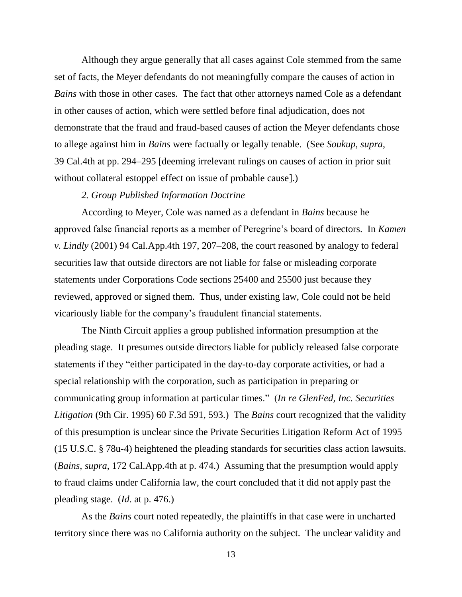Although they argue generally that all cases against Cole stemmed from the same set of facts, the Meyer defendants do not meaningfully compare the causes of action in *Bains* with those in other cases. The fact that other attorneys named Cole as a defendant in other causes of action, which were settled before final adjudication, does not demonstrate that the fraud and fraud-based causes of action the Meyer defendants chose to allege against him in *Bains* were factually or legally tenable. (See *Soukup*, *supra*, 39 Cal.4th at pp. 294–295 [deeming irrelevant rulings on causes of action in prior suit without collateral estoppel effect on issue of probable cause].)

## *2. Group Published Information Doctrine*

According to Meyer, Cole was named as a defendant in *Bains* because he approved false financial reports as a member of Peregrine's board of directors. In *Kamen v. Lindly* (2001) 94 Cal.App.4th 197, 207–208, the court reasoned by analogy to federal securities law that outside directors are not liable for false or misleading corporate statements under Corporations Code sections 25400 and 25500 just because they reviewed, approved or signed them. Thus, under existing law, Cole could not be held vicariously liable for the company's fraudulent financial statements.

The Ninth Circuit applies a group published information presumption at the pleading stage. It presumes outside directors liable for publicly released false corporate statements if they "either participated in the day-to-day corporate activities, or had a special relationship with the corporation, such as participation in preparing or communicating group information at particular times.‖ (*In re GlenFed, Inc. Securities Litigation* (9th Cir. 1995) 60 F.3d 591, 593.) The *Bains* court recognized that the validity of this presumption is unclear since the Private Securities Litigation Reform Act of 1995 (15 U.S.C. § 78u-4) heightened the pleading standards for securities class action lawsuits. (*Bains*, *supra*, 172 Cal.App.4th at p. 474.) Assuming that the presumption would apply to fraud claims under California law, the court concluded that it did not apply past the pleading stage. (*Id*. at p. 476.)

As the *Bains* court noted repeatedly, the plaintiffs in that case were in uncharted territory since there was no California authority on the subject. The unclear validity and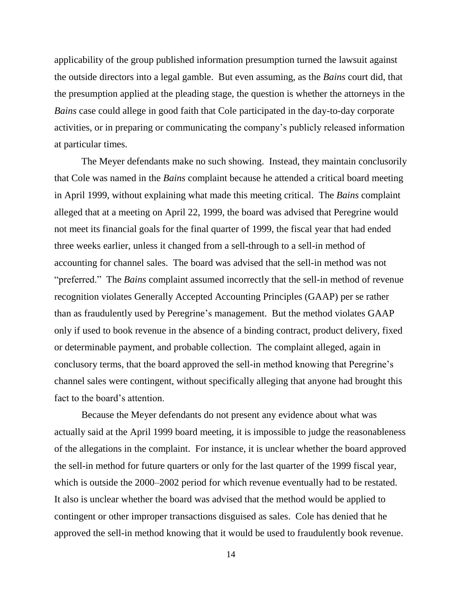applicability of the group published information presumption turned the lawsuit against the outside directors into a legal gamble. But even assuming, as the *Bains* court did, that the presumption applied at the pleading stage, the question is whether the attorneys in the *Bains* case could allege in good faith that Cole participated in the day-to-day corporate activities, or in preparing or communicating the company's publicly released information at particular times.

The Meyer defendants make no such showing. Instead, they maintain conclusorily that Cole was named in the *Bains* complaint because he attended a critical board meeting in April 1999, without explaining what made this meeting critical. The *Bains* complaint alleged that at a meeting on April 22, 1999, the board was advised that Peregrine would not meet its financial goals for the final quarter of 1999, the fiscal year that had ended three weeks earlier, unless it changed from a sell-through to a sell-in method of accounting for channel sales. The board was advised that the sell-in method was not "preferred." The *Bains* complaint assumed incorrectly that the sell-in method of revenue recognition violates Generally Accepted Accounting Principles (GAAP) per se rather than as fraudulently used by Peregrine's management. But the method violates GAAP only if used to book revenue in the absence of a binding contract, product delivery, fixed or determinable payment, and probable collection. The complaint alleged, again in conclusory terms, that the board approved the sell-in method knowing that Peregrine's channel sales were contingent, without specifically alleging that anyone had brought this fact to the board's attention.

Because the Meyer defendants do not present any evidence about what was actually said at the April 1999 board meeting, it is impossible to judge the reasonableness of the allegations in the complaint. For instance, it is unclear whether the board approved the sell-in method for future quarters or only for the last quarter of the 1999 fiscal year, which is outside the 2000–2002 period for which revenue eventually had to be restated. It also is unclear whether the board was advised that the method would be applied to contingent or other improper transactions disguised as sales. Cole has denied that he approved the sell-in method knowing that it would be used to fraudulently book revenue.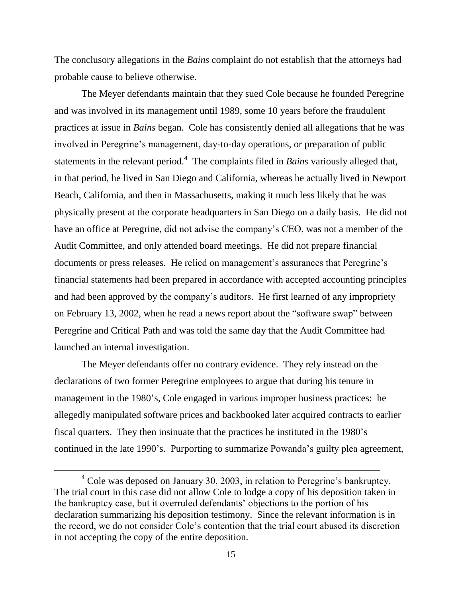The conclusory allegations in the *Bains* complaint do not establish that the attorneys had probable cause to believe otherwise.

The Meyer defendants maintain that they sued Cole because he founded Peregrine and was involved in its management until 1989, some 10 years before the fraudulent practices at issue in *Bains* began. Cole has consistently denied all allegations that he was involved in Peregrine's management, day-to-day operations, or preparation of public statements in the relevant period. 4 The complaints filed in *Bains* variously alleged that, in that period, he lived in San Diego and California, whereas he actually lived in Newport Beach, California, and then in Massachusetts, making it much less likely that he was physically present at the corporate headquarters in San Diego on a daily basis. He did not have an office at Peregrine, did not advise the company's CEO, was not a member of the Audit Committee, and only attended board meetings. He did not prepare financial documents or press releases. He relied on management's assurances that Peregrine's financial statements had been prepared in accordance with accepted accounting principles and had been approved by the company's auditors. He first learned of any impropriety on February 13, 2002, when he read a news report about the "software swap" between Peregrine and Critical Path and was told the same day that the Audit Committee had launched an internal investigation.

The Meyer defendants offer no contrary evidence. They rely instead on the declarations of two former Peregrine employees to argue that during his tenure in management in the 1980's, Cole engaged in various improper business practices: he allegedly manipulated software prices and backbooked later acquired contracts to earlier fiscal quarters. They then insinuate that the practices he instituted in the 1980's continued in the late 1990's. Purporting to summarize Powanda's guilty plea agreement,

 $4$  Cole was deposed on January 30, 2003, in relation to Peregrine's bankruptcy. The trial court in this case did not allow Cole to lodge a copy of his deposition taken in the bankruptcy case, but it overruled defendants' objections to the portion of his declaration summarizing his deposition testimony. Since the relevant information is in the record, we do not consider Cole's contention that the trial court abused its discretion in not accepting the copy of the entire deposition.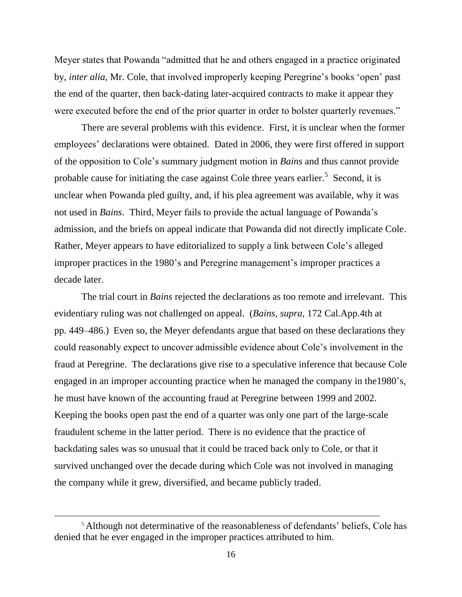Meyer states that Powanda "admitted that he and others engaged in a practice originated by, *inter alia*, Mr. Cole, that involved improperly keeping Peregrine's books 'open' past the end of the quarter, then back-dating later-acquired contracts to make it appear they were executed before the end of the prior quarter in order to bolster quarterly revenues."

There are several problems with this evidence. First, it is unclear when the former employees' declarations were obtained. Dated in 2006, they were first offered in support of the opposition to Cole's summary judgment motion in *Bains* and thus cannot provide probable cause for initiating the case against Cole three years earlier.<sup>5</sup> Second, it is unclear when Powanda pled guilty, and, if his plea agreement was available, why it was not used in *Bains*. Third, Meyer fails to provide the actual language of Powanda's admission, and the briefs on appeal indicate that Powanda did not directly implicate Cole. Rather, Meyer appears to have editorialized to supply a link between Cole's alleged improper practices in the 1980's and Peregrine management's improper practices a decade later.

The trial court in *Bains* rejected the declarations as too remote and irrelevant. This evidentiary ruling was not challenged on appeal. (*Bains*, *supra*, 172 Cal.App.4th at pp. 449–486.) Even so, the Meyer defendants argue that based on these declarations they could reasonably expect to uncover admissible evidence about Cole's involvement in the fraud at Peregrine. The declarations give rise to a speculative inference that because Cole engaged in an improper accounting practice when he managed the company in the1980's, he must have known of the accounting fraud at Peregrine between 1999 and 2002. Keeping the books open past the end of a quarter was only one part of the large-scale fraudulent scheme in the latter period. There is no evidence that the practice of backdating sales was so unusual that it could be traced back only to Cole, or that it survived unchanged over the decade during which Cole was not involved in managing the company while it grew, diversified, and became publicly traded.

<sup>&</sup>lt;sup>5</sup> Although not determinative of the reasonableness of defendants' beliefs, Cole has denied that he ever engaged in the improper practices attributed to him.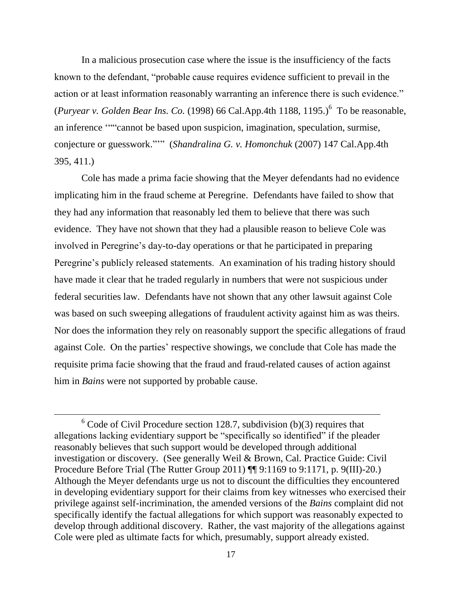In a malicious prosecution case where the issue is the insufficiency of the facts known to the defendant, "probable cause requires evidence sufficient to prevail in the action or at least information reasonably warranting an inference there is such evidence." (*Puryear v. Golden Bear Ins. Co.* (1998) 66 Cal.App.4th 1188, 1195.)<sup>6</sup> To be reasonable, an inference ""cannot be based upon suspicion, imagination, speculation, surmise, conjecture or guesswork."" (*Shandralina G. v. Homonchuk* (2007) 147 Cal.App.4th 395, 411.)

Cole has made a prima facie showing that the Meyer defendants had no evidence implicating him in the fraud scheme at Peregrine. Defendants have failed to show that they had any information that reasonably led them to believe that there was such evidence. They have not shown that they had a plausible reason to believe Cole was involved in Peregrine's day-to-day operations or that he participated in preparing Peregrine's publicly released statements. An examination of his trading history should have made it clear that he traded regularly in numbers that were not suspicious under federal securities law. Defendants have not shown that any other lawsuit against Cole was based on such sweeping allegations of fraudulent activity against him as was theirs. Nor does the information they rely on reasonably support the specific allegations of fraud against Cole. On the parties' respective showings, we conclude that Cole has made the requisite prima facie showing that the fraud and fraud-related causes of action against him in *Bains* were not supported by probable cause.

 $6$  Code of Civil Procedure section 128.7, subdivision (b)(3) requires that allegations lacking evidentiary support be "specifically so identified" if the pleader reasonably believes that such support would be developed through additional investigation or discovery. (See generally Weil & Brown, Cal. Practice Guide: Civil Procedure Before Trial (The Rutter Group 2011) ¶¶ 9:1169 to 9:1171, p. 9(III)-20.) Although the Meyer defendants urge us not to discount the difficulties they encountered in developing evidentiary support for their claims from key witnesses who exercised their privilege against self-incrimination, the amended versions of the *Bains* complaint did not specifically identify the factual allegations for which support was reasonably expected to develop through additional discovery. Rather, the vast majority of the allegations against Cole were pled as ultimate facts for which, presumably, support already existed.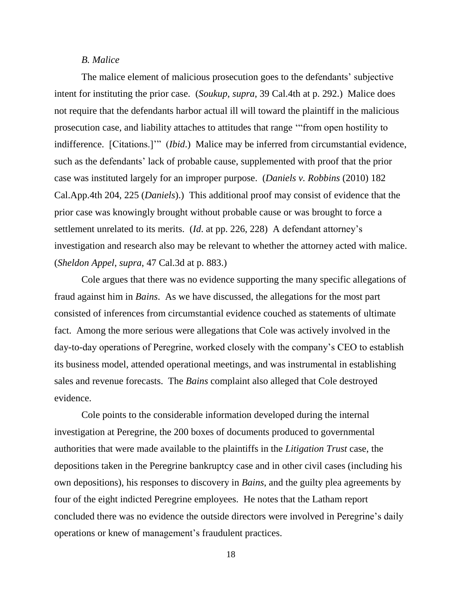## *B. Malice*

The malice element of malicious prosecution goes to the defendants' subjective intent for instituting the prior case. (*Soukup*, *supra*, 39 Cal.4th at p. 292.) Malice does not require that the defendants harbor actual ill will toward the plaintiff in the malicious prosecution case, and liability attaches to attitudes that range "from open hostility to indifference. [Citations.]'" (*Ibid.*) Malice may be inferred from circumstantial evidence, such as the defendants' lack of probable cause, supplemented with proof that the prior case was instituted largely for an improper purpose. (*Daniels v. Robbins* (2010) 182 Cal.App.4th 204, 225 (*Daniels*).) This additional proof may consist of evidence that the prior case was knowingly brought without probable cause or was brought to force a settlement unrelated to its merits. (*Id*. at pp. 226, 228) A defendant attorney's investigation and research also may be relevant to whether the attorney acted with malice. (*Sheldon Appel*, *supra*, 47 Cal.3d at p. 883.)

Cole argues that there was no evidence supporting the many specific allegations of fraud against him in *Bains*. As we have discussed, the allegations for the most part consisted of inferences from circumstantial evidence couched as statements of ultimate fact. Among the more serious were allegations that Cole was actively involved in the day-to-day operations of Peregrine, worked closely with the company's CEO to establish its business model, attended operational meetings, and was instrumental in establishing sales and revenue forecasts. The *Bains* complaint also alleged that Cole destroyed evidence.

Cole points to the considerable information developed during the internal investigation at Peregrine, the 200 boxes of documents produced to governmental authorities that were made available to the plaintiffs in the *Litigation Trust* case, the depositions taken in the Peregrine bankruptcy case and in other civil cases (including his own depositions), his responses to discovery in *Bains*, and the guilty plea agreements by four of the eight indicted Peregrine employees. He notes that the Latham report concluded there was no evidence the outside directors were involved in Peregrine's daily operations or knew of management's fraudulent practices.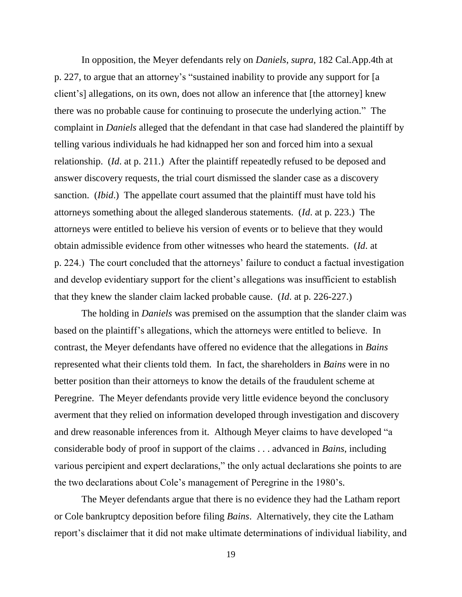In opposition, the Meyer defendants rely on *Daniels*, *supra*, 182 Cal.App.4th at p. 227, to argue that an attorney's "sustained inability to provide any support for [a client's] allegations, on its own, does not allow an inference that [the attorney] knew there was no probable cause for continuing to prosecute the underlying action." The complaint in *Daniels* alleged that the defendant in that case had slandered the plaintiff by telling various individuals he had kidnapped her son and forced him into a sexual relationship. (*Id*. at p. 211.) After the plaintiff repeatedly refused to be deposed and answer discovery requests, the trial court dismissed the slander case as a discovery sanction. (*Ibid*.) The appellate court assumed that the plaintiff must have told his attorneys something about the alleged slanderous statements. (*Id*. at p. 223.) The attorneys were entitled to believe his version of events or to believe that they would obtain admissible evidence from other witnesses who heard the statements. (*Id*. at p. 224.) The court concluded that the attorneys' failure to conduct a factual investigation and develop evidentiary support for the client's allegations was insufficient to establish that they knew the slander claim lacked probable cause. (*Id*. at p. 226-227.)

The holding in *Daniels* was premised on the assumption that the slander claim was based on the plaintiff's allegations, which the attorneys were entitled to believe. In contrast, the Meyer defendants have offered no evidence that the allegations in *Bains* represented what their clients told them. In fact, the shareholders in *Bains* were in no better position than their attorneys to know the details of the fraudulent scheme at Peregrine. The Meyer defendants provide very little evidence beyond the conclusory averment that they relied on information developed through investigation and discovery and drew reasonable inferences from it. Although Meyer claims to have developed "a considerable body of proof in support of the claims . . . advanced in *Bains*, including various percipient and expert declarations," the only actual declarations she points to are the two declarations about Cole's management of Peregrine in the 1980's.

The Meyer defendants argue that there is no evidence they had the Latham report or Cole bankruptcy deposition before filing *Bains*. Alternatively, they cite the Latham report's disclaimer that it did not make ultimate determinations of individual liability, and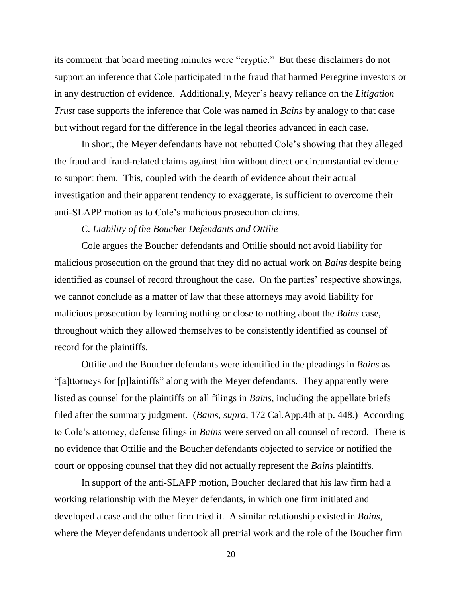its comment that board meeting minutes were "cryptic." But these disclaimers do not support an inference that Cole participated in the fraud that harmed Peregrine investors or in any destruction of evidence. Additionally, Meyer's heavy reliance on the *Litigation Trust* case supports the inference that Cole was named in *Bains* by analogy to that case but without regard for the difference in the legal theories advanced in each case.

In short, the Meyer defendants have not rebutted Cole's showing that they alleged the fraud and fraud-related claims against him without direct or circumstantial evidence to support them. This, coupled with the dearth of evidence about their actual investigation and their apparent tendency to exaggerate, is sufficient to overcome their anti-SLAPP motion as to Cole's malicious prosecution claims.

# *C. Liability of the Boucher Defendants and Ottilie*

Cole argues the Boucher defendants and Ottilie should not avoid liability for malicious prosecution on the ground that they did no actual work on *Bains* despite being identified as counsel of record throughout the case. On the parties' respective showings, we cannot conclude as a matter of law that these attorneys may avoid liability for malicious prosecution by learning nothing or close to nothing about the *Bains* case, throughout which they allowed themselves to be consistently identified as counsel of record for the plaintiffs.

Ottilie and the Boucher defendants were identified in the pleadings in *Bains* as ―[a]ttorneys for [p]laintiffs‖ along with the Meyer defendants. They apparently were listed as counsel for the plaintiffs on all filings in *Bains*, including the appellate briefs filed after the summary judgment. (*Bains*, *supra*, 172 Cal.App.4th at p. 448.) According to Cole's attorney, defense filings in *Bains* were served on all counsel of record. There is no evidence that Ottilie and the Boucher defendants objected to service or notified the court or opposing counsel that they did not actually represent the *Bains* plaintiffs.

In support of the anti-SLAPP motion, Boucher declared that his law firm had a working relationship with the Meyer defendants, in which one firm initiated and developed a case and the other firm tried it. A similar relationship existed in *Bains*, where the Meyer defendants undertook all pretrial work and the role of the Boucher firm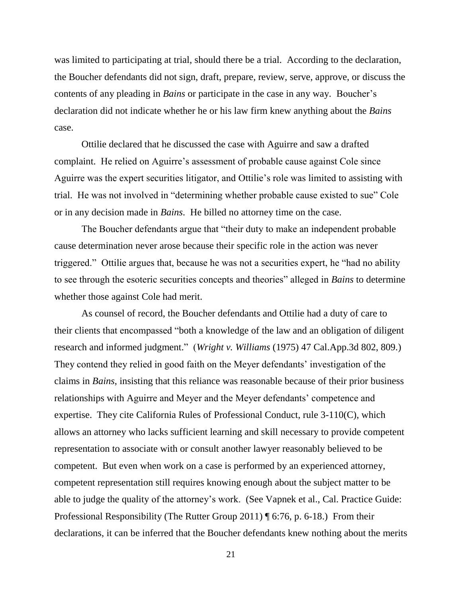was limited to participating at trial, should there be a trial. According to the declaration, the Boucher defendants did not sign, draft, prepare, review, serve, approve, or discuss the contents of any pleading in *Bains* or participate in the case in any way. Boucher's declaration did not indicate whether he or his law firm knew anything about the *Bains*  case.

Ottilie declared that he discussed the case with Aguirre and saw a drafted complaint. He relied on Aguirre's assessment of probable cause against Cole since Aguirre was the expert securities litigator, and Ottilie's role was limited to assisting with trial. He was not involved in "determining whether probable cause existed to sue" Cole or in any decision made in *Bains*. He billed no attorney time on the case.

The Boucher defendants argue that "their duty to make an independent probable cause determination never arose because their specific role in the action was never triggered." Ottilie argues that, because he was not a securities expert, he "had no ability" to see through the esoteric securities concepts and theories" alleged in *Bains* to determine whether those against Cole had merit.

As counsel of record, the Boucher defendants and Ottilie had a duty of care to their clients that encompassed "both a knowledge of the law and an obligation of diligent research and informed judgment." (*Wright v. Williams* (1975) 47 Cal.App.3d 802, 809.) They contend they relied in good faith on the Meyer defendants' investigation of the claims in *Bains*, insisting that this reliance was reasonable because of their prior business relationships with Aguirre and Meyer and the Meyer defendants' competence and expertise. They cite California Rules of Professional Conduct, rule 3-110(C), which allows an attorney who lacks sufficient learning and skill necessary to provide competent representation to associate with or consult another lawyer reasonably believed to be competent. But even when work on a case is performed by an experienced attorney, competent representation still requires knowing enough about the subject matter to be able to judge the quality of the attorney's work. (See Vapnek et al., Cal. Practice Guide: Professional Responsibility (The Rutter Group 2011) ¶ 6:76, p. 6-18.) From their declarations, it can be inferred that the Boucher defendants knew nothing about the merits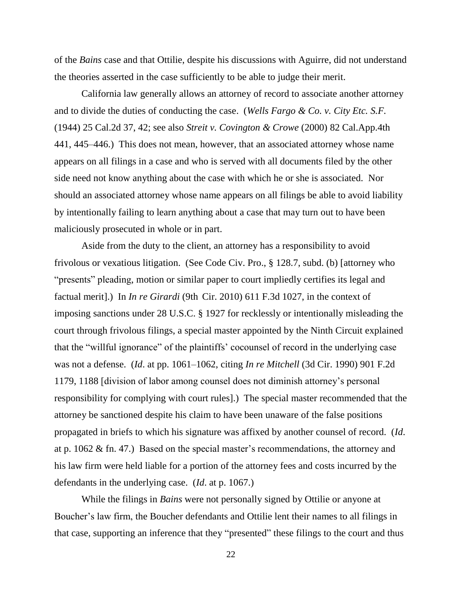of the *Bains* case and that Ottilie, despite his discussions with Aguirre, did not understand the theories asserted in the case sufficiently to be able to judge their merit.

California law generally allows an attorney of record to associate another attorney and to divide the duties of conducting the case. (*Wells Fargo & Co. v. City Etc. S.F.* (1944) 25 Cal.2d 37, 42; see also *Streit v. Covington & Crowe* (2000) 82 Cal.App.4th 441, 445–446.) This does not mean, however, that an associated attorney whose name appears on all filings in a case and who is served with all documents filed by the other side need not know anything about the case with which he or she is associated. Nor should an associated attorney whose name appears on all filings be able to avoid liability by intentionally failing to learn anything about a case that may turn out to have been maliciously prosecuted in whole or in part.

Aside from the duty to the client, an attorney has a responsibility to avoid frivolous or vexatious litigation. (See Code Civ. Pro., § 128.7, subd. (b) [attorney who "presents" pleading, motion or similar paper to court impliedly certifies its legal and factual merit].) In *In re Girardi* (9th Cir. 2010) 611 F.3d 1027, in the context of imposing sanctions under 28 U.S.C. § 1927 for recklessly or intentionally misleading the court through frivolous filings, a special master appointed by the Ninth Circuit explained that the "willful ignorance" of the plaintiffs' cocounsel of record in the underlying case was not a defense. (*Id*. at pp. 1061–1062, citing *In re Mitchell* (3d Cir. 1990) 901 F.2d 1179, 1188 [division of labor among counsel does not diminish attorney's personal responsibility for complying with court rules].) The special master recommended that the attorney be sanctioned despite his claim to have been unaware of the false positions propagated in briefs to which his signature was affixed by another counsel of record. (*Id*. at p. 1062 & fn. 47.) Based on the special master's recommendations, the attorney and his law firm were held liable for a portion of the attorney fees and costs incurred by the defendants in the underlying case. (*Id*. at p. 1067.)

While the filings in *Bains* were not personally signed by Ottilie or anyone at Boucher's law firm, the Boucher defendants and Ottilie lent their names to all filings in that case, supporting an inference that they "presented" these filings to the court and thus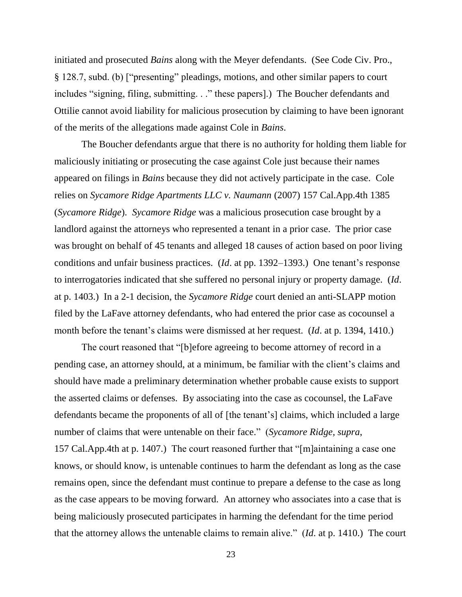initiated and prosecuted *Bains* along with the Meyer defendants. (See Code Civ. Pro.,  $\S$  128.7, subd. (b) ["presenting" pleadings, motions, and other similar papers to court includes "signing, filing, submitting. . ." these papers].) The Boucher defendants and Ottilie cannot avoid liability for malicious prosecution by claiming to have been ignorant of the merits of the allegations made against Cole in *Bains*.

The Boucher defendants argue that there is no authority for holding them liable for maliciously initiating or prosecuting the case against Cole just because their names appeared on filings in *Bains* because they did not actively participate in the case. Cole relies on *Sycamore Ridge Apartments LLC v. Naumann* (2007) 157 Cal.App.4th 1385 (*Sycamore Ridge*). *Sycamore Ridge* was a malicious prosecution case brought by a landlord against the attorneys who represented a tenant in a prior case. The prior case was brought on behalf of 45 tenants and alleged 18 causes of action based on poor living conditions and unfair business practices. (*Id*. at pp. 1392–1393.) One tenant's response to interrogatories indicated that she suffered no personal injury or property damage. (*Id*. at p. 1403.) In a 2-1 decision, the *Sycamore Ridge* court denied an anti-SLAPP motion filed by the LaFave attorney defendants, who had entered the prior case as cocounsel a month before the tenant's claims were dismissed at her request. (*Id*. at p. 1394, 1410.)

The court reasoned that "[b]efore agreeing to become attorney of record in a pending case, an attorney should, at a minimum, be familiar with the client's claims and should have made a preliminary determination whether probable cause exists to support the asserted claims or defenses. By associating into the case as cocounsel, the LaFave defendants became the proponents of all of [the tenant's] claims, which included a large number of claims that were untenable on their face.‖ (*Sycamore Ridge, supra*, 157 Cal. App. 4th at p. 1407.) The court reasoned further that " $[m]$ aintaining a case one knows, or should know, is untenable continues to harm the defendant as long as the case remains open, since the defendant must continue to prepare a defense to the case as long as the case appears to be moving forward. An attorney who associates into a case that is being maliciously prosecuted participates in harming the defendant for the time period that the attorney allows the untenable claims to remain alive." (*Id.* at p. 1410.) The court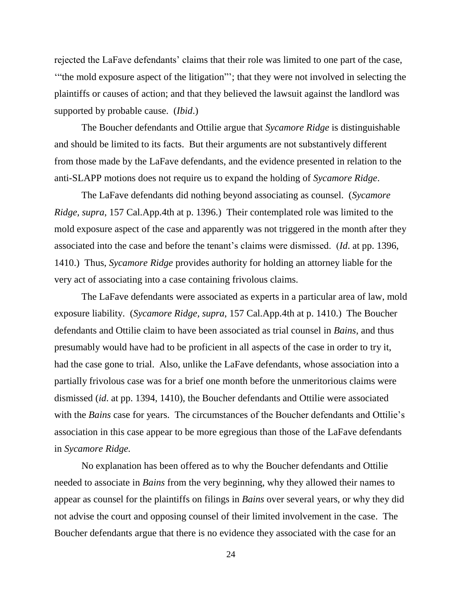rejected the LaFave defendants' claims that their role was limited to one part of the case, "the mold exposure aspect of the litigation"'; that they were not involved in selecting the plaintiffs or causes of action; and that they believed the lawsuit against the landlord was supported by probable cause. (*Ibid*.)

The Boucher defendants and Ottilie argue that *Sycamore Ridge* is distinguishable and should be limited to its facts. But their arguments are not substantively different from those made by the LaFave defendants, and the evidence presented in relation to the anti-SLAPP motions does not require us to expand the holding of *Sycamore Ridge*.

The LaFave defendants did nothing beyond associating as counsel. (*Sycamore Ridge, supra*, 157 Cal.App.4th at p. 1396.) Their contemplated role was limited to the mold exposure aspect of the case and apparently was not triggered in the month after they associated into the case and before the tenant's claims were dismissed. (*Id*. at pp. 1396, 1410.) Thus, *Sycamore Ridge* provides authority for holding an attorney liable for the very act of associating into a case containing frivolous claims.

The LaFave defendants were associated as experts in a particular area of law, mold exposure liability. (*Sycamore Ridge, supra*, 157 Cal.App.4th at p. 1410.) The Boucher defendants and Ottilie claim to have been associated as trial counsel in *Bains*, and thus presumably would have had to be proficient in all aspects of the case in order to try it, had the case gone to trial. Also, unlike the LaFave defendants, whose association into a partially frivolous case was for a brief one month before the unmeritorious claims were dismissed (*id*. at pp. 1394, 1410), the Boucher defendants and Ottilie were associated with the *Bains* case for years. The circumstances of the Boucher defendants and Ottilie's association in this case appear to be more egregious than those of the LaFave defendants in *Sycamore Ridge.* 

No explanation has been offered as to why the Boucher defendants and Ottilie needed to associate in *Bains* from the very beginning, why they allowed their names to appear as counsel for the plaintiffs on filings in *Bains* over several years, or why they did not advise the court and opposing counsel of their limited involvement in the case. The Boucher defendants argue that there is no evidence they associated with the case for an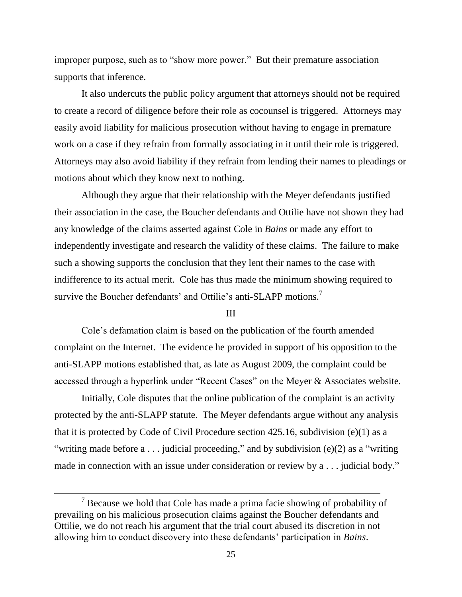improper purpose, such as to "show more power." But their premature association supports that inference.

It also undercuts the public policy argument that attorneys should not be required to create a record of diligence before their role as cocounsel is triggered. Attorneys may easily avoid liability for malicious prosecution without having to engage in premature work on a case if they refrain from formally associating in it until their role is triggered. Attorneys may also avoid liability if they refrain from lending their names to pleadings or motions about which they know next to nothing.

Although they argue that their relationship with the Meyer defendants justified their association in the case, the Boucher defendants and Ottilie have not shown they had any knowledge of the claims asserted against Cole in *Bains* or made any effort to independently investigate and research the validity of these claims. The failure to make such a showing supports the conclusion that they lent their names to the case with indifference to its actual merit. Cole has thus made the minimum showing required to survive the Boucher defendants' and Ottilie's anti-SLAPP motions.<sup>7</sup>

#### III

Cole's defamation claim is based on the publication of the fourth amended complaint on the Internet. The evidence he provided in support of his opposition to the anti-SLAPP motions established that, as late as August 2009, the complaint could be accessed through a hyperlink under "Recent Cases" on the Meyer  $\&$  Associates website.

Initially, Cole disputes that the online publication of the complaint is an activity protected by the anti-SLAPP statute. The Meyer defendants argue without any analysis that it is protected by Code of Civil Procedure section 425.16, subdivision (e)(1) as a "writing made before  $a \dots$  judicial proceeding," and by subdivision (e)(2) as a "writing made in connection with an issue under consideration or review by  $a \dots$  judicial body."

 $<sup>7</sup>$  Because we hold that Cole has made a prima facie showing of probability of</sup> prevailing on his malicious prosecution claims against the Boucher defendants and Ottilie, we do not reach his argument that the trial court abused its discretion in not allowing him to conduct discovery into these defendants' participation in *Bains*.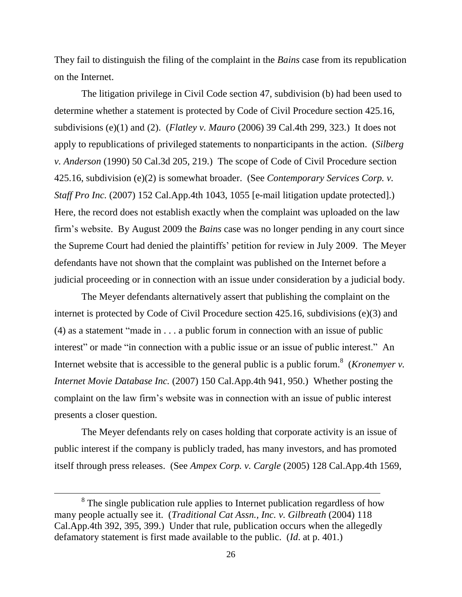They fail to distinguish the filing of the complaint in the *Bains* case from its republication on the Internet.

The litigation privilege in Civil Code section 47, subdivision (b) had been used to determine whether a statement is protected by Code of Civil Procedure section 425.16, subdivisions (e)(1) and (2). (*Flatley v. Mauro* (2006) 39 Cal.4th 299, 323.) It does not apply to republications of privileged statements to nonparticipants in the action. (*Silberg v. Anderson* (1990) 50 Cal.3d 205, 219.) The scope of Code of Civil Procedure section 425.16, subdivision (e)(2) is somewhat broader. (See *Contemporary Services Corp. v. Staff Pro Inc.* (2007) 152 Cal.App.4th 1043, 1055 [e-mail litigation update protected].) Here, the record does not establish exactly when the complaint was uploaded on the law firm's website. By August 2009 the *Bains* case was no longer pending in any court since the Supreme Court had denied the plaintiffs' petition for review in July 2009. The Meyer defendants have not shown that the complaint was published on the Internet before a judicial proceeding or in connection with an issue under consideration by a judicial body.

The Meyer defendants alternatively assert that publishing the complaint on the internet is protected by Code of Civil Procedure section 425.16, subdivisions (e)(3) and  $(4)$  as a statement "made in  $\dots$  a public forum in connection with an issue of public interest" or made "in connection with a public issue or an issue of public interest." An Internet website that is accessible to the general public is a public forum.<sup>8</sup> (*Kronemyer v. Internet Movie Database Inc.* (2007) 150 Cal.App.4th 941, 950.) Whether posting the complaint on the law firm's website was in connection with an issue of public interest presents a closer question.

The Meyer defendants rely on cases holding that corporate activity is an issue of public interest if the company is publicly traded, has many investors, and has promoted itself through press releases. (See *Ampex Corp. v. Cargle* (2005) 128 Cal.App.4th 1569,

<sup>&</sup>lt;sup>8</sup> The single publication rule applies to Internet publication regardless of how many people actually see it. (*Traditional Cat Assn., Inc. v. Gilbreath* (2004) 118 Cal.App.4th 392, 395, 399.) Under that rule, publication occurs when the allegedly defamatory statement is first made available to the public. (*Id*. at p. 401.)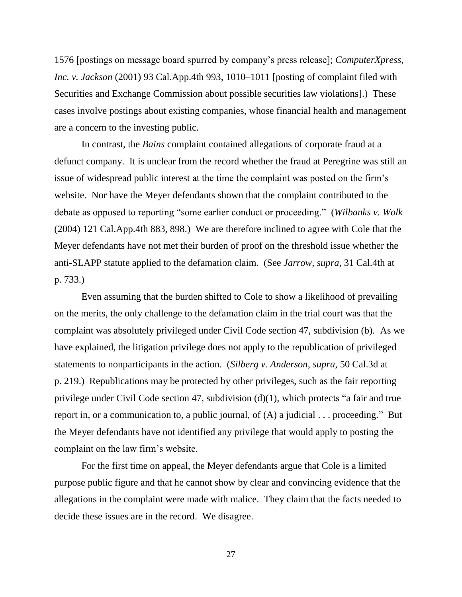1576 [postings on message board spurred by company's press release]; *ComputerXpress, Inc. v. Jackson* (2001) 93 Cal.App.4th 993, 1010–1011 [posting of complaint filed with Securities and Exchange Commission about possible securities law violations].) These cases involve postings about existing companies, whose financial health and management are a concern to the investing public.

In contrast, the *Bains* complaint contained allegations of corporate fraud at a defunct company. It is unclear from the record whether the fraud at Peregrine was still an issue of widespread public interest at the time the complaint was posted on the firm's website. Nor have the Meyer defendants shown that the complaint contributed to the debate as opposed to reporting "some earlier conduct or proceeding." (*Wilbanks v. Wolk* (2004) 121 Cal.App.4th 883, 898.) We are therefore inclined to agree with Cole that the Meyer defendants have not met their burden of proof on the threshold issue whether the anti-SLAPP statute applied to the defamation claim. (See *Jarrow*, *supra*, 31 Cal.4th at p. 733.)

Even assuming that the burden shifted to Cole to show a likelihood of prevailing on the merits, the only challenge to the defamation claim in the trial court was that the complaint was absolutely privileged under Civil Code section 47, subdivision (b). As we have explained, the litigation privilege does not apply to the republication of privileged statements to nonparticipants in the action. (*Silberg v. Anderson*, *supra*, 50 Cal.3d at p. 219.) Republications may be protected by other privileges, such as the fair reporting privilege under Civil Code section 47, subdivision  $(d)(1)$ , which protects "a fair and true report in, or a communication to, a public journal, of  $(A)$  a judicial  $\ldots$  proceeding." But the Meyer defendants have not identified any privilege that would apply to posting the complaint on the law firm's website.

For the first time on appeal, the Meyer defendants argue that Cole is a limited purpose public figure and that he cannot show by clear and convincing evidence that the allegations in the complaint were made with malice. They claim that the facts needed to decide these issues are in the record. We disagree.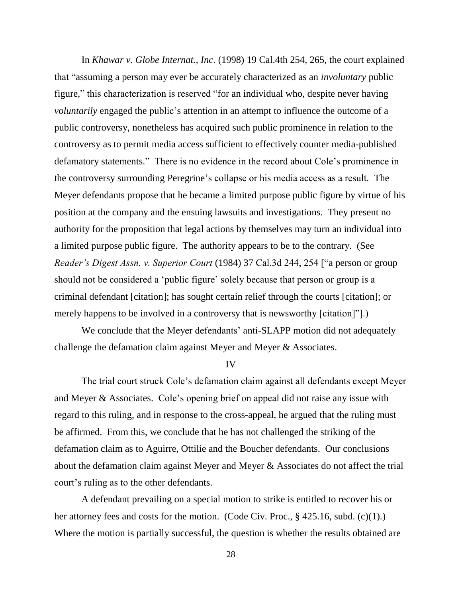In *Khawar v. Globe Internat., Inc*. (1998) 19 Cal.4th 254, 265, the court explained that "assuming a person may ever be accurately characterized as an *involuntary* public figure," this characterization is reserved "for an individual who, despite never having *voluntarily* engaged the public's attention in an attempt to influence the outcome of a public controversy, nonetheless has acquired such public prominence in relation to the controversy as to permit media access sufficient to effectively counter media-published defamatory statements." There is no evidence in the record about Cole's prominence in the controversy surrounding Peregrine's collapse or his media access as a result. The Meyer defendants propose that he became a limited purpose public figure by virtue of his position at the company and the ensuing lawsuits and investigations. They present no authority for the proposition that legal actions by themselves may turn an individual into a limited purpose public figure. The authority appears to be to the contrary. (See *Reader's Digest Assn. v. Superior Court* (1984) 37 Cal.3d 244, 254 ["a person or group should not be considered a 'public figure' solely because that person or group is a criminal defendant [citation]; has sought certain relief through the courts [citation]; or merely happens to be involved in a controversy that is newsworthy [citation]".)

We conclude that the Meyer defendants' anti-SLAPP motion did not adequately challenge the defamation claim against Meyer and Meyer & Associates.

IV

The trial court struck Cole's defamation claim against all defendants except Meyer and Meyer & Associates. Cole's opening brief on appeal did not raise any issue with regard to this ruling, and in response to the cross-appeal, he argued that the ruling must be affirmed. From this, we conclude that he has not challenged the striking of the defamation claim as to Aguirre, Ottilie and the Boucher defendants. Our conclusions about the defamation claim against Meyer and Meyer & Associates do not affect the trial court's ruling as to the other defendants.

A defendant prevailing on a special motion to strike is entitled to recover his or her attorney fees and costs for the motion. (Code Civ. Proc., § 425.16, subd. (c)(1).) Where the motion is partially successful, the question is whether the results obtained are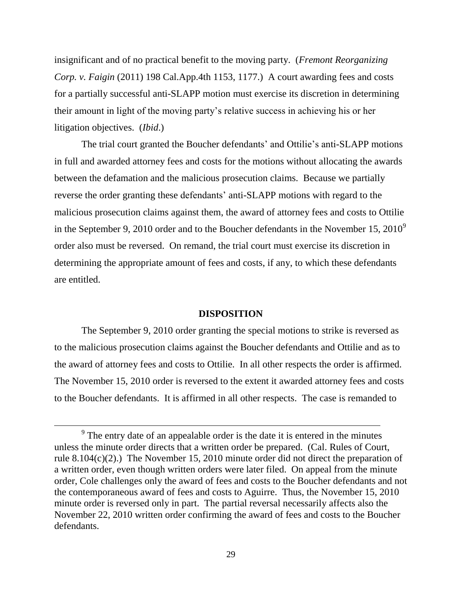insignificant and of no practical benefit to the moving party. (*Fremont Reorganizing Corp. v. Faigin* (2011) 198 Cal.App.4th 1153, 1177.) A court awarding fees and costs for a partially successful anti-SLAPP motion must exercise its discretion in determining their amount in light of the moving party's relative success in achieving his or her litigation objectives. (*Ibid*.)

The trial court granted the Boucher defendants' and Ottilie's anti-SLAPP motions in full and awarded attorney fees and costs for the motions without allocating the awards between the defamation and the malicious prosecution claims. Because we partially reverse the order granting these defendants' anti-SLAPP motions with regard to the malicious prosecution claims against them, the award of attorney fees and costs to Ottilie in the September 9, 2010 order and to the Boucher defendants in the November 15,  $2010^9$ order also must be reversed. On remand, the trial court must exercise its discretion in determining the appropriate amount of fees and costs, if any, to which these defendants are entitled.

### **DISPOSITION**

The September 9, 2010 order granting the special motions to strike is reversed as to the malicious prosecution claims against the Boucher defendants and Ottilie and as to the award of attorney fees and costs to Ottilie. In all other respects the order is affirmed. The November 15, 2010 order is reversed to the extent it awarded attorney fees and costs to the Boucher defendants. It is affirmed in all other respects. The case is remanded to

 $9<sup>9</sup>$  The entry date of an appealable order is the date it is entered in the minutes unless the minute order directs that a written order be prepared. (Cal. Rules of Court, rule 8.104(c)(2).) The November 15, 2010 minute order did not direct the preparation of a written order, even though written orders were later filed. On appeal from the minute order, Cole challenges only the award of fees and costs to the Boucher defendants and not the contemporaneous award of fees and costs to Aguirre. Thus, the November 15, 2010 minute order is reversed only in part. The partial reversal necessarily affects also the November 22, 2010 written order confirming the award of fees and costs to the Boucher defendants.